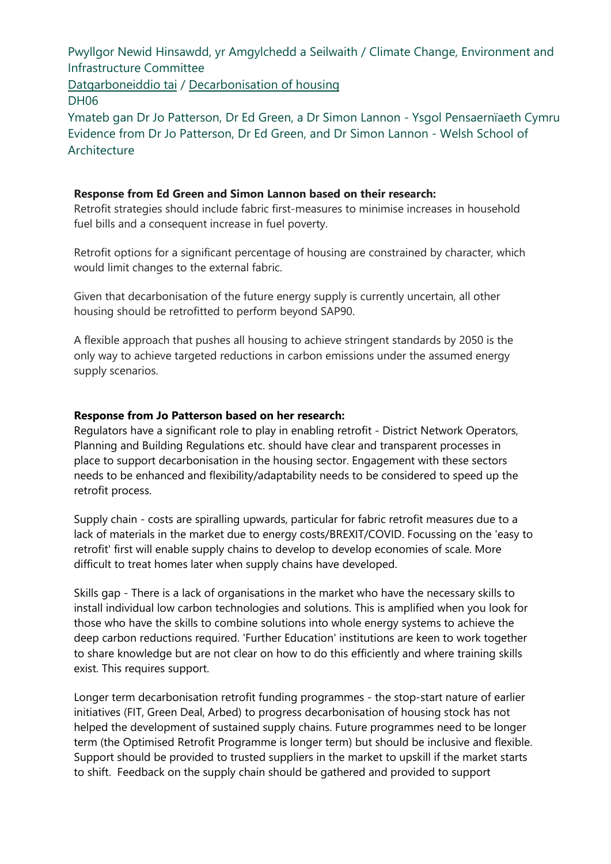Pwyllgor Newid Hinsawdd, yr Amgylchedd a Seilwaith / Climate Change, Environment and Infrastructure Committee

Datgarboneiddio tai / Decarbonisation of housing DH06

[Ymateb gan](https://busnes.senedd.cymru/mgIssueHistoryHome.aspx?IId=39102) Dr Jo Pat[terson, Dr Ed Green, a Dr Sim](https://business.senedd.wales/mgIssueHistoryHome.aspx?IId=39102)on Lannon - Ysgol Pensaernïaeth Cymru Evidence from Dr Jo Patterson, Dr Ed Green, and Dr Simon Lannon - Welsh School of Architecture

## **Response from Ed Green and Simon Lannon based on their research:**

Retrofit strategies should include fabric first-measures to minimise increases in household fuel bills and a consequent increase in fuel poverty.

Retrofit options for a significant percentage of housing are constrained by character, which would limit changes to the external fabric.

Given that decarbonisation of the future energy supply is currently uncertain, all other housing should be retrofitted to perform beyond SAP90.

A flexible approach that pushes all housing to achieve stringent standards by 2050 is the only way to achieve targeted reductions in carbon emissions under the assumed energy supply scenarios.

## **Response from Jo Patterson based on her research:**

Regulators have a significant role to play in enabling retrofit - District Network Operators, Planning and Building Regulations etc. should have clear and transparent processes in place to support decarbonisation in the housing sector. Engagement with these sectors needs to be enhanced and flexibility/adaptability needs to be considered to speed up the retrofit process.

Supply chain - costs are spiralling upwards, particular for fabric retrofit measures due to a lack of materials in the market due to energy costs/BREXIT/COVID. Focussing on the 'easy to retrofit' first will enable supply chains to develop to develop economies of scale. More difficult to treat homes later when supply chains have developed.

Skills gap - There is a lack of organisations in the market who have the necessary skills to install individual low carbon technologies and solutions. This is amplified when you look for those who have the skills to combine solutions into whole energy systems to achieve the deep carbon reductions required. 'Further Education' institutions are keen to work together to share knowledge but are not clear on how to do this efficiently and where training skills exist. This requires support.

Longer term decarbonisation retrofit funding programmes - the stop-start nature of earlier initiatives (FIT, Green Deal, Arbed) to progress decarbonisation of housing stock has not helped the development of sustained supply chains. Future programmes need to be longer term (the Optimised Retrofit Programme is longer term) but should be inclusive and flexible. Support should be provided to trusted suppliers in the market to upskill if the market starts to shift. Feedback on the supply chain should be gathered and provided to support